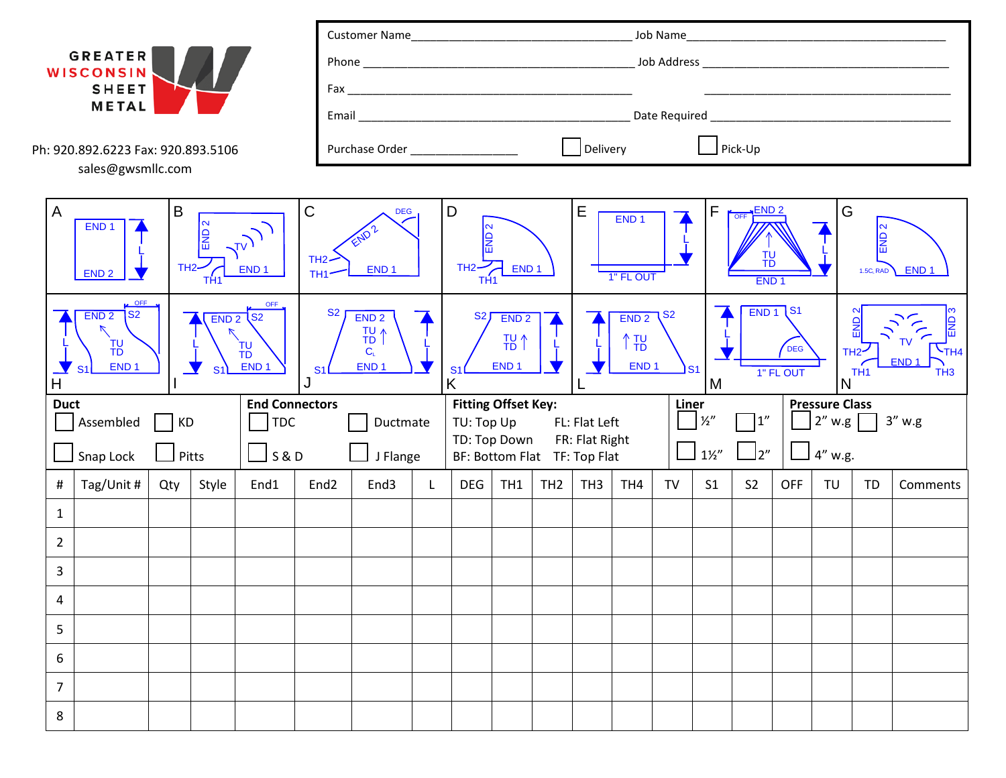

г

Ph: 920.892.6223 Fax: 920.893.5106 sales@gwsmllc.com

| Phone          | Job Address                                                                      |
|----------------|----------------------------------------------------------------------------------|
| Fax            |                                                                                  |
| Email          | Date Required<br><u> 1980 - Jan James Barnett, fizik biskup biskup (d. 1980)</u> |
| Purchase Order | Pick-Up<br>Delivery                                                              |

| $\sf B$<br>A<br>$\frac{2}{\sqrt{2}}$<br>END <sub>1</sub><br>$\sqrt{v}$<br>$TH2-$<br>END <sub>1</sub><br>END <sub>2</sub><br>TH <sub>1</sub>                                                                                      |            |     | $\mathsf C$<br><b>DEG</b><br>END?<br>$TH2-$<br>END <sub>1</sub><br>TH <sub>1</sub> |                                                                                       |                                                                                             | $\mathsf D$<br> N<br>읾<br>TH2<br>END <sub>1</sub><br>TH <sub>1</sub> |   |                              | $\mathsf E$     | END <sub>1</sub><br>1" FL OUT                                                                                           |                                 | $\mathsf F$     | OFF END 2<br><b>TU</b><br>TD<br>END <sub>1</sub> |                |                | ${\mathsf G}$<br>END <sub>2</sub><br>END <sub>1</sub><br>1.5C <sub>L</sub> RAD |           |    |          |  |
|----------------------------------------------------------------------------------------------------------------------------------------------------------------------------------------------------------------------------------|------------|-----|------------------------------------------------------------------------------------|---------------------------------------------------------------------------------------|---------------------------------------------------------------------------------------------|----------------------------------------------------------------------|---|------------------------------|-----------------|-------------------------------------------------------------------------------------------------------------------------|---------------------------------|-----------------|--------------------------------------------------|----------------|----------------|--------------------------------------------------------------------------------|-----------|----|----------|--|
| LA OFF<br>OFF,<br>$\overline{\text{S2}}$<br>END <sub>2</sub><br>S2<br>END <sub>2</sub><br>$\triangledown$<br>T <sub>b</sub><br>TU <sub>TD</sub><br>END <sub>1</sub><br>END <sub>1</sub><br>S <sub>1</sub><br>S <sub>1</sub><br>H |            |     | S <sub>2</sub><br>S <sub>1</sub>                                                   | END <sub>2</sub><br>T <sub>b</sub><br>$\Lambda$<br>$C_{\text{L}}$<br>END <sub>1</sub> | <b>S2</b><br>END <sub>2</sub><br>TU <sup>1</sup><br>END <sub>1</sub><br>S <sub>1</sub><br>Κ |                                                                      |   |                              |                 | END <sub>1</sub> S1<br>END<br>T٧<br>DEG<br>TH <sub>2</sub> -<br>END <sub>1</sub><br>1" FL OUT<br>TH <sub>1</sub><br>IN. |                                 |                 | 읾<br>$\mathcal{L}_{TH4}$<br>TH <sub>3</sub>      |                |                |                                                                                |           |    |          |  |
| <b>End Connectors</b><br><b>Duct</b>                                                                                                                                                                                             |            |     |                                                                                    |                                                                                       |                                                                                             | Ductmate                                                             |   | <b>Fitting Offset Key:</b>   |                 |                                                                                                                         | Liner<br>$\frac{1}{2}$          |                 |                                                  |                |                | <b>Pressure Class</b>                                                          |           |    |          |  |
| Assembled<br><b>TDC</b><br><b>KD</b>                                                                                                                                                                                             |            |     |                                                                                    |                                                                                       |                                                                                             |                                                                      |   | TU: Top Up<br>TD: Top Down   |                 |                                                                                                                         | FL: Flat Left<br>FR: Flat Right |                 |                                                  |                |                | ]1"<br> 2'' w.g <br>$3''$ w.g                                                  |           |    |          |  |
| <b>S&amp;D</b><br>Snap Lock<br>Pitts                                                                                                                                                                                             |            |     |                                                                                    |                                                                                       | J Flange                                                                                    |                                                                      |   | BF: Bottom Flat TF: Top Flat |                 |                                                                                                                         |                                 | $1\frac{1}{2}$  |                                                  |                |                | ]2"<br>$4''$ w.g.                                                              |           |    |          |  |
| #                                                                                                                                                                                                                                | Tag/Unit # | Qty | Style                                                                              | End1                                                                                  | End <sub>2</sub>                                                                            | End3                                                                 | L | <b>DEG</b>                   | TH <sub>1</sub> | TH <sub>2</sub>                                                                                                         | TH <sub>3</sub>                 | TH <sub>4</sub> | <b>TV</b>                                        | S <sub>1</sub> | S <sub>2</sub> | <b>OFF</b>                                                                     | <b>TU</b> | TD | Comments |  |
| $\mathbf{1}$                                                                                                                                                                                                                     |            |     |                                                                                    |                                                                                       |                                                                                             |                                                                      |   |                              |                 |                                                                                                                         |                                 |                 |                                                  |                |                |                                                                                |           |    |          |  |
| $\overline{2}$                                                                                                                                                                                                                   |            |     |                                                                                    |                                                                                       |                                                                                             |                                                                      |   |                              |                 |                                                                                                                         |                                 |                 |                                                  |                |                |                                                                                |           |    |          |  |
| $\overline{3}$                                                                                                                                                                                                                   |            |     |                                                                                    |                                                                                       |                                                                                             |                                                                      |   |                              |                 |                                                                                                                         |                                 |                 |                                                  |                |                |                                                                                |           |    |          |  |
| $\overline{4}$                                                                                                                                                                                                                   |            |     |                                                                                    |                                                                                       |                                                                                             |                                                                      |   |                              |                 |                                                                                                                         |                                 |                 |                                                  |                |                |                                                                                |           |    |          |  |
| 5                                                                                                                                                                                                                                |            |     |                                                                                    |                                                                                       |                                                                                             |                                                                      |   |                              |                 |                                                                                                                         |                                 |                 |                                                  |                |                |                                                                                |           |    |          |  |
| 6                                                                                                                                                                                                                                |            |     |                                                                                    |                                                                                       |                                                                                             |                                                                      |   |                              |                 |                                                                                                                         |                                 |                 |                                                  |                |                |                                                                                |           |    |          |  |
| $\overline{7}$                                                                                                                                                                                                                   |            |     |                                                                                    |                                                                                       |                                                                                             |                                                                      |   |                              |                 |                                                                                                                         |                                 |                 |                                                  |                |                |                                                                                |           |    |          |  |
| 8                                                                                                                                                                                                                                |            |     |                                                                                    |                                                                                       |                                                                                             |                                                                      |   |                              |                 |                                                                                                                         |                                 |                 |                                                  |                |                |                                                                                |           |    |          |  |